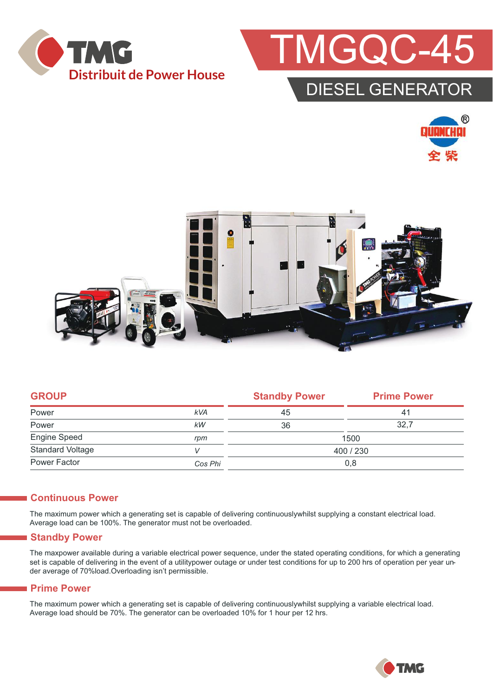



### DIESEL GENERATO





|            | <b>Standby Power</b> | <b>Prime Power</b> |  |
|------------|----------------------|--------------------|--|
| <b>kVA</b> | 45                   | 41                 |  |
| kW         | 36                   | 32,7               |  |
| rpm        | 1500                 |                    |  |
|            | 400 / 230            |                    |  |
| Cos Phi    | 0,8                  |                    |  |
|            |                      |                    |  |

#### **Continuous Power**

The maximum power which a generating set is capable of delivering continuouslywhilst supplying a constant electrical load. Average load can be 100%. The generator must not be overloaded.

#### **Standby Power**

The maxpower available during a variable electrical power sequence, under the stated operating conditions, for which a generating set is capable of delivering in the event of a utilitypower outage or under test conditions for up to 200 hrs of operation per year under average of 70%load.Overloading isn't permissible.

#### **Prime Power**

The maximum power which a generating set is capable of delivering continuouslywhilst supplying a variable electrical load. Average load should be 70%. The generator can be overloaded 10% for 1 hour per 12 hrs.

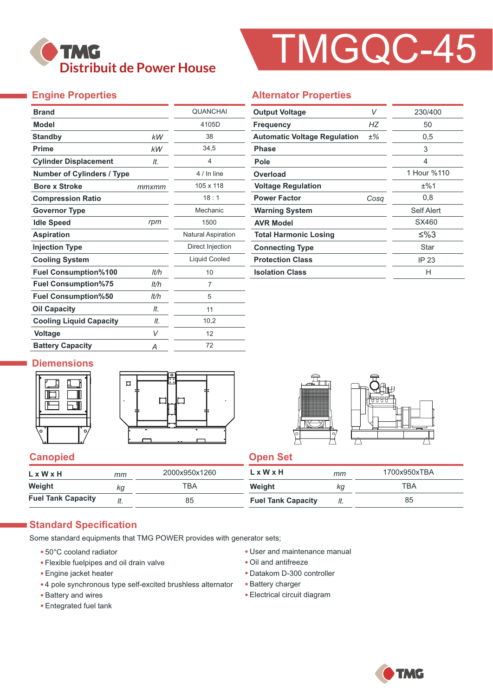

# TMGQC-45

#### **Engine Properties**

| <b>Brand</b>                      |       | <b>QUANCHAI</b>           |
|-----------------------------------|-------|---------------------------|
| <b>Model</b>                      |       | 4105D                     |
| <b>Standby</b>                    | kW    | 38                        |
| <b>Prime</b>                      | kW    | 34,5                      |
| <b>Cylinder Displacement</b>      | It.   | $\overline{4}$            |
| <b>Number of Cylinders / Type</b> |       | 4 / In line               |
| <b>Bore x Stroke</b>              | mmxmm | 105 x 118                 |
| <b>Compression Ratio</b>          |       | 18:1                      |
| <b>Governor Type</b>              |       | Mechanic                  |
| <b>Idle Speed</b>                 | rpm   | 1500                      |
| <b>Aspiration</b>                 |       | <b>Natural Aspiration</b> |
| <b>Injection Type</b>             |       | Direct Injection          |
| <b>Cooling System</b>             |       | Liquid Cooled             |
| <b>Fuel Consumption%100</b>       | It/h  | 10                        |
| <b>Fuel Consumption%75</b>        | lt/h  | 7                         |
| <b>Fuel Consumption%50</b>        | lt/h  | 5                         |
| <b>Oil Capacity</b>               | It.   | 11                        |
| <b>Cooling Liquid Capacity</b>    | It.   | 10,2                      |
| <b>Voltage</b>                    | V     | 12                        |
| <b>Battery Capacity</b>           | Α     | 72                        |

#### **Alternator Properties**

| <b>Output Voltage</b>               | V     | 230/400     |  |  |
|-------------------------------------|-------|-------------|--|--|
| <b>Frequency</b>                    | НZ    | 50          |  |  |
| <b>Automatic Voltage Regulation</b> | $±\%$ | 0,5         |  |  |
| <b>Phase</b>                        |       | 3           |  |  |
| Pole                                |       | 4           |  |  |
| Overload                            |       | 1 Hour %110 |  |  |
| <b>Voltage Regulation</b>           |       | ±%1         |  |  |
| <b>Power Factor</b>                 | Cosa  | 0,8         |  |  |
| <b>Warning System</b>               |       | Self Alert  |  |  |
| <b>AVR Model</b>                    |       | SX460       |  |  |
| <b>Total Harmonic Losing</b>        |       | ≤%3         |  |  |
| <b>Connecting Type</b>              |       | Star        |  |  |
| <b>Protection Class</b>             |       | IP 23       |  |  |
| <b>Isolation Class</b>              |       | н           |  |  |

#### **Diemensions**







#### **Canopied Canopied Canopied**

| LxWxH                     | тт  | 2000x950x1260 | L x W x H                 | mт  | 1700x950xTBA |
|---------------------------|-----|---------------|---------------------------|-----|--------------|
| Weight                    | КQ  | тва           | Weight                    | КQ  | TBA          |
| <b>Fuel Tank Capacity</b> | ៸ւ. | 85            | <b>Fuel Tank Capacity</b> | It. | 85           |

#### **Standard Specification**

Some standard equipments that TMG POWER provides with generator sets;

- 50°C cooland radiator
- Flexible fuelpipes and oil drain valve
- Engine jacket heater
- 4 pole synchronous type self-excited brushless alternator
- Battery and wires
- Entegrated fuel tank
- User and maintenance manual
- Oil and antifreeze
- Datakom D-300 controller
- Battery charger
- Electrical circuit diagram